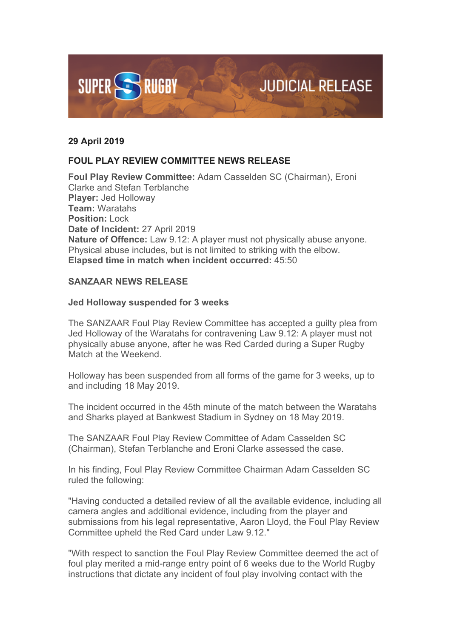

## **29 April 2019**

## **FOUL PLAY REVIEW COMMITTEE NEWS RELEASE**

**Foul Play Review Committee:** Adam Casselden SC (Chairman), Eroni Clarke and Stefan Terblanche **Player:** Jed Holloway **Team:** Waratahs **Position:** Lock **Date of Incident:** 27 April 2019 **Nature of Offence:** Law 9.12: A player must not physically abuse anyone. Physical abuse includes, but is not limited to striking with the elbow. **Elapsed time in match when incident occurred:** 45:50

## **SANZAAR NEWS RELEASE**

## **Jed Holloway suspended for 3 weeks**

The SANZAAR Foul Play Review Committee has accepted a guilty plea from Jed Holloway of the Waratahs for contravening Law 9.12: A player must not physically abuse anyone, after he was Red Carded during a Super Rugby Match at the Weekend.

Holloway has been suspended from all forms of the game for 3 weeks, up to and including 18 May 2019.

The incident occurred in the 45th minute of the match between the Waratahs and Sharks played at Bankwest Stadium in Sydney on 18 May 2019.

The SANZAAR Foul Play Review Committee of Adam Casselden SC (Chairman), Stefan Terblanche and Eroni Clarke assessed the case.

In his finding, Foul Play Review Committee Chairman Adam Casselden SC ruled the following:

"Having conducted a detailed review of all the available evidence, including all camera angles and additional evidence, including from the player and submissions from his legal representative, Aaron Lloyd, the Foul Play Review Committee upheld the Red Card under Law 9.12."

"With respect to sanction the Foul Play Review Committee deemed the act of foul play merited a mid-range entry point of 6 weeks due to the World Rugby instructions that dictate any incident of foul play involving contact with the